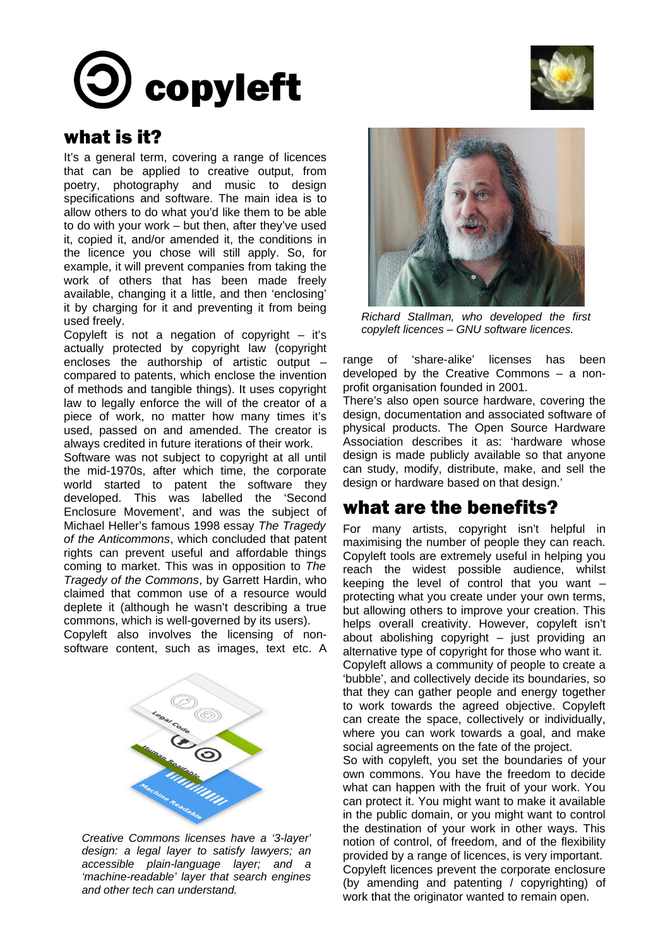# copyleft



### what is it?

It's a general term, covering a range of licences that can be applied to creative output, from poetry, photography and music to design specifications and software. The main idea is to allow others to do what you'd like them to be able to do with your work – but then, after they've used it, copied it, and/or amended it, the conditions in the licence you chose will still apply. So, for example, it will prevent companies from taking the work of others that has been made freely available, changing it a little, and then 'enclosing' it by charging for it and preventing it from being used freely.

Copyleft is not a negation of copyright  $-$  it's actually protected by copyright law (copyright encloses the authorship of artistic output – compared to patents, which enclose the invention of methods and tangible things). It uses copyright law to legally enforce the will of the creator of a piece of work, no matter how many times it's used, passed on and amended. The creator is always credited in future iterations of their work.

Software was not subject to copyright at all until the mid-1970s, after which time, the corporate world started to patent the software they developed. This was labelled the 'Second Enclosure Movement', and was the subject of Michael Heller's famous 1998 essay *The Tragedy of the Anticommons*, which concluded that patent rights can prevent useful and affordable things coming to market. This was in opposition to *The Tragedy of the Commons*, by Garrett Hardin, who claimed that common use of a resource would deplete it (although he wasn't describing a true commons, which is well-governed by its users).

Copyleft also involves the licensing of nonsoftware content, such as images, text etc. A



*Creative Commons licenses have a '3-layer' design: a legal layer to satisfy lawyers; an accessible plain-language layer; and a 'machine-readable' layer that search engines and other tech can understand.*



*Richard Stallman, who developed the first copyleft licences – GNU software licences.*

range of 'share-alike' licenses has been developed by the Creative Commons – a nonprofit organisation founded in 2001.

There's also open source hardware, covering the design, documentation and associated software of physical products. The Open Source Hardware Association describes it as: 'hardware whose design is made publicly available so that anyone can study, modify, distribute, make, and sell the design or hardware based on that design.'

## what are the benefits?

For many artists, copyright isn't helpful in maximising the number of people they can reach. Copyleft tools are extremely useful in helping you reach the widest possible audience, whilst keeping the level of control that you want – protecting what you create under your own terms, but allowing others to improve your creation. This helps overall creativity. However, copyleft isn't about abolishing copyright – just providing an alternative type of copyright for those who want it. Copyleft allows a community of people to create a 'bubble', and collectively decide its boundaries, so that they can gather people and energy together to work towards the agreed objective. Copyleft can create the space, collectively or individually, where you can work towards a goal, and make social agreements on the fate of the project.

So with copyleft, you set the boundaries of your own commons. You have the freedom to decide what can happen with the fruit of your work. You can protect it. You might want to make it available in the public domain, or you might want to control the destination of your work in other ways. This notion of control, of freedom, and of the flexibility provided by a range of licences, is very important. Copyleft licences prevent the corporate enclosure (by amending and patenting / copyrighting) of work that the originator wanted to remain open.